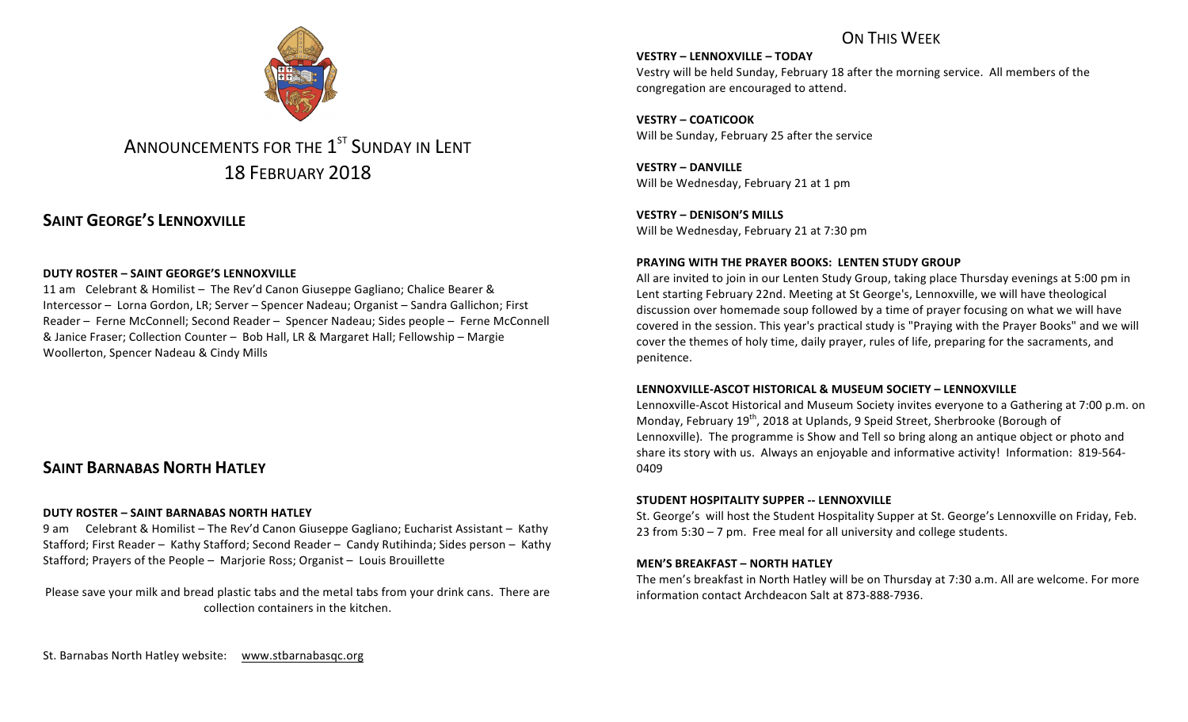# ON THIS WFFK

# ANNOUNCEMENTS FOR THE 1<sup>ST</sup> SUNDAY IN LENT 18 FEBRUARY 2018

# **SAINT GEORGE'S LENNOXVILLE**

### **DUTY ROSTER – SAINT GEORGE'S LENNOXVILLE**

11 am Celebrant & Homilist – The Rev'd Canon Giuseppe Gagliano; Chalice Bearer & Intercessor – Lorna Gordon, LR; Server – Spencer Nadeau; Organist – Sandra Gallichon; First Reader – Ferne McConnell; Second Reader – Spencer Nadeau; Sides people – Ferne McConnell & Janice Fraser; Collection Counter – Bob Hall, LR & Margaret Hall; Fellowship – Margie Woollerton, Spencer Nadeau & Cindy Mills

# **SAINT BARNABAS NORTH HATLEY**

#### **DUTY ROSTER – SAINT BARNABAS NORTH HATLEY**

9 am Celebrant & Homilist – The Rev'd Canon Giuseppe Gagliano; Eucharist Assistant – Kathy Stafford; First Reader – Kathy Stafford; Second Reader – Candy Rutihinda; Sides person – Kathy Stafford; Prayers of the People - Marjorie Ross; Organist - Louis Brouillette

Please save your milk and bread plastic tabs and the metal tabs from your drink cans. There are collection containers in the kitchen.

**VESTRY – LENNOXVILLE – TODAY**

Vestry will be held Sunday, February 18 after the morning service. All members of the congregation are encouraged to attend.

**VESTRY – COATICOOK**  Will be Sunday, February 25 after the service

**VESTRY – DANVILLE** Will be Wednesday, February 21 at 1 pm

**VESTRY – DENISON'S MILLS** Will be Wednesday, February 21 at 7:30 pm

#### **PRAYING WITH THE PRAYER BOOKS: LENTEN STUDY GROUP**

All are invited to join in our Lenten Study Group, taking place Thursday evenings at 5:00 pm in Lent starting February 22nd. Meeting at St George's, Lennoxville, we will have theological discussion over homemade soup followed by a time of prayer focusing on what we will have covered in the session. This year's practical study is "Praying with the Prayer Books" and we will cover the themes of holy time, daily prayer, rules of life, preparing for the sacraments, and penitence.

#### **LENNOXVILLE-ASCOT HISTORICAL & MUSEUM SOCIETY – LENNOXVILLE**

Lennoxville-Ascot Historical and Museum Society invites everyone to a Gathering at 7:00 p.m. on Monday, February  $19^{th}$ , 2018 at Uplands, 9 Speid Street, Sherbrooke (Borough of Lennoxville). The programme is Show and Tell so bring along an antique object or photo and share its story with us. Always an enjoyable and informative activity! Information: 819-564-0409

#### **STUDENT HOSPITALITY SUPPER -- LENNOXVILLE**

St. George's will host the Student Hospitality Supper at St. George's Lennoxville on Friday, Feb. 23 from  $5:30 - 7$  pm. Free meal for all university and college students.

#### **MEN'S BREAKFAST – NORTH HATLEY**

The men's breakfast in North Hatley will be on Thursday at 7:30 a.m. All are welcome. For more information contact Archdeacon Salt at 873-888-7936.